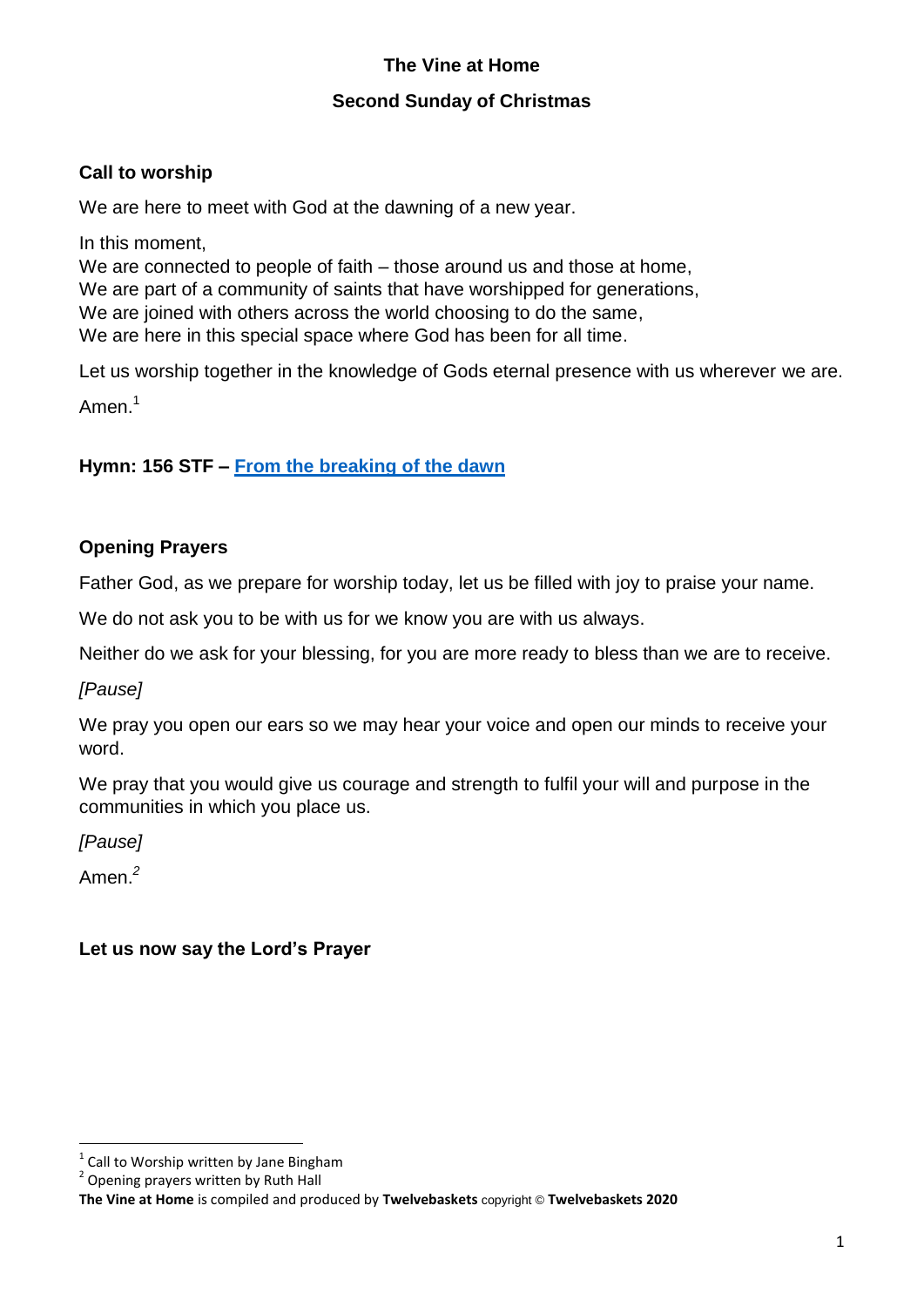# **The Vine at Home**

### **Second Sunday of Christmas**

# **Call to worship**

We are here to meet with God at the dawning of a new year.

In this moment,

We are connected to people of faith – those around us and those at home, We are part of a community of saints that have worshipped for generations, We are joined with others across the world choosing to do the same, We are here in this special space where God has been for all time.

Let us worship together in the knowledge of Gods eternal presence with us wherever we are.

Amen.<sup>1</sup>

**Hymn: 156 STF – [From the breaking of the dawn](https://www.youtube.com/watch?v=qA_sehrPVZo)**

# **Opening Prayers**

Father God, as we prepare for worship today, let us be filled with joy to praise your name.

We do not ask you to be with us for we know you are with us always.

Neither do we ask for your blessing, for you are more ready to bless than we are to receive.

*[Pause]*

We pray you open our ears so we may hear your voice and open our minds to receive your word.

We pray that you would give us courage and strength to fulfil your will and purpose in the communities in which you place us.

*[Pause]*

Amen. *2*

**.** 

**Let us now say the Lord's Prayer**

<sup>&</sup>lt;sup>1</sup> Call to Worship written by Jane Bingham

<sup>&</sup>lt;sup>2</sup> Opening prayers written by Ruth Hall

**The Vine at Home** is compiled and produced by **Twelvebaskets** copyright © **Twelvebaskets 2020**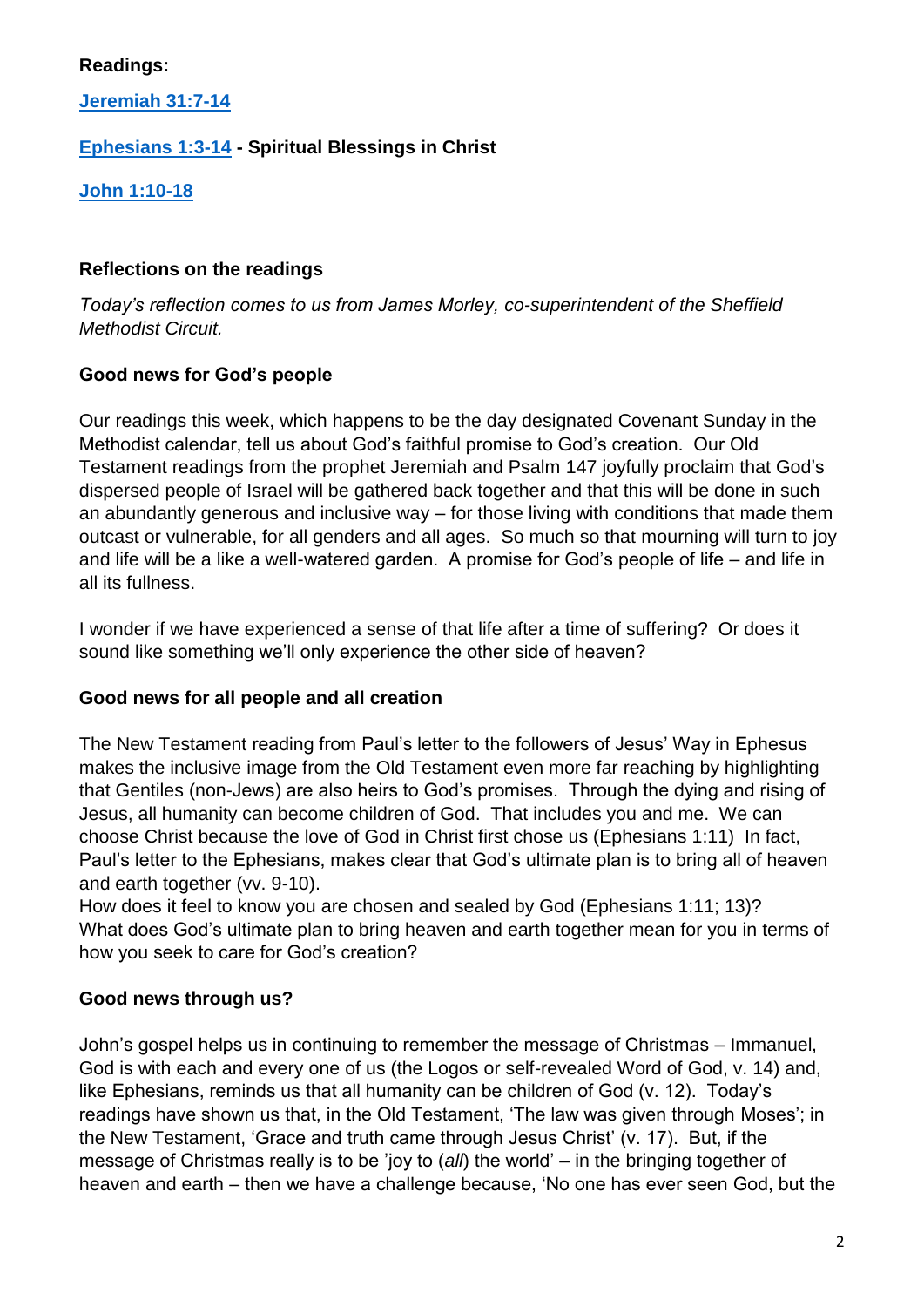### **Readings:**

**[Jeremiah 31:7-14](https://www.biblegateway.com/passage/?search=Jeremiah+31%3A7-14+&version=NIV)**

# **[Ephesians 1:3-14](https://www.biblegateway.com/passage/?search=Ephesians+1%3A3-14+&version=NIV) - Spiritual Blessings in Christ**

**[John 1:10-18](https://www.biblegateway.com/passage/?search=John+1%3A10-18+&version=NIV)**

# **Reflections on the readings**

*Today's reflection comes to us from James Morley, co-superintendent of the Sheffield Methodist Circuit.*

# **Good news for God's people**

Our readings this week, which happens to be the day designated Covenant Sunday in the Methodist calendar, tell us about God's faithful promise to God's creation. Our Old Testament readings from the prophet Jeremiah and Psalm 147 joyfully proclaim that God's dispersed people of Israel will be gathered back together and that this will be done in such an abundantly generous and inclusive way – for those living with conditions that made them outcast or vulnerable, for all genders and all ages. So much so that mourning will turn to joy and life will be a like a well-watered garden. A promise for God's people of life – and life in all its fullness.

I wonder if we have experienced a sense of that life after a time of suffering? Or does it sound like something we'll only experience the other side of heaven?

### **Good news for all people and all creation**

The New Testament reading from Paul's letter to the followers of Jesus' Way in Ephesus makes the inclusive image from the Old Testament even more far reaching by highlighting that Gentiles (non-Jews) are also heirs to God's promises. Through the dying and rising of Jesus, all humanity can become children of God. That includes you and me. We can choose Christ because the love of God in Christ first chose us (Ephesians 1:11) In fact, Paul's letter to the Ephesians, makes clear that God's ultimate plan is to bring all of heaven and earth together (vv. 9-10).

How does it feel to know you are chosen and sealed by God (Ephesians 1:11; 13)? What does God's ultimate plan to bring heaven and earth together mean for you in terms of how you seek to care for God's creation?

# **Good news through us?**

John's gospel helps us in continuing to remember the message of Christmas – Immanuel, God is with each and every one of us (the Logos or self-revealed Word of God, v. 14) and, like Ephesians, reminds us that all humanity can be children of God (v. 12). Today's readings have shown us that, in the Old Testament, 'The law was given through Moses'; in the New Testament, 'Grace and truth came through Jesus Christ' (v. 17). But, if the message of Christmas really is to be 'joy to (*all*) the world' – in the bringing together of heaven and earth – then we have a challenge because, 'No one has ever seen God, but the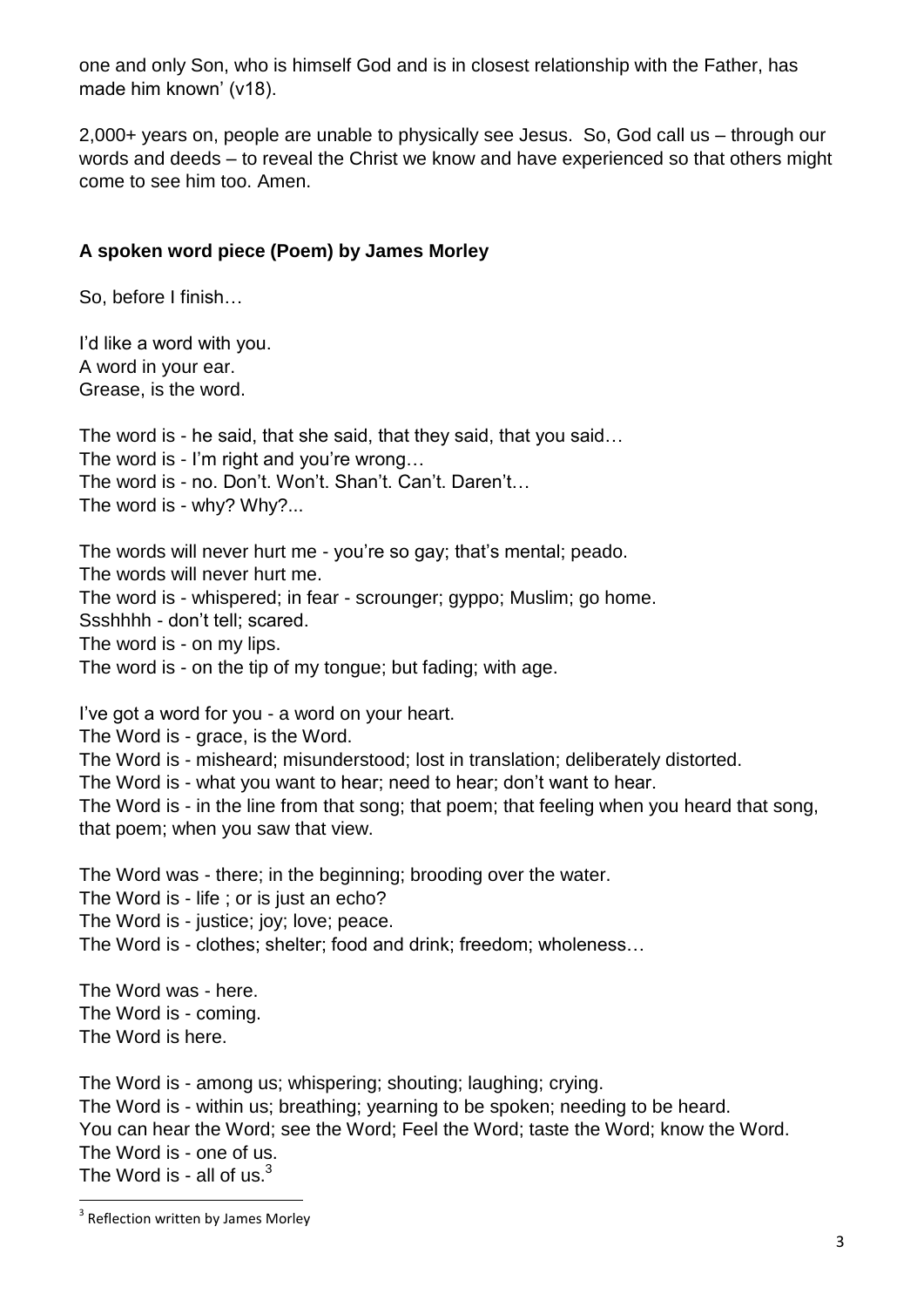one and only Son, who is himself God and is in closest relationship with the Father, has made him known' (v18).

2,000+ years on, people are unable to physically see Jesus. So, God call us – through our words and deeds – to reveal the Christ we know and have experienced so that others might come to see him too. Amen.

### **A spoken word piece (Poem) by James Morley**

So, before I finish…

I'd like a word with you. A word in your ear. Grease, is the word.

The word is - he said, that she said, that they said, that you said… The word is - I'm right and you're wrong… The word is - no. Don't. Won't. Shan't. Can't. Daren't… The word is - why? Why?...

The words will never hurt me - you're so gay; that's mental; peado. The words will never hurt me. The word is - whispered; in fear - scrounger; gyppo; Muslim; go home. Ssshhhh - don't tell; scared. The word is - on my lips. The word is - on the tip of my tongue; but fading; with age.

I've got a word for you - a word on your heart.

The Word is - grace, is the Word.

The Word is - misheard; misunderstood; lost in translation; deliberately distorted.

The Word is - what you want to hear; need to hear; don't want to hear.

The Word is - in the line from that song; that poem; that feeling when you heard that song, that poem; when you saw that view.

The Word was - there; in the beginning; brooding over the water.

The Word is - life : or is just an echo?

The Word is - justice; joy; love; peace.

The Word is - clothes; shelter; food and drink; freedom; wholeness…

The Word was - here. The Word is - coming. The Word is here.

The Word is - among us; whispering; shouting; laughing; crying.

The Word is - within us; breathing; yearning to be spoken; needing to be heard.

You can hear the Word; see the Word; Feel the Word; taste the Word; know the Word. The Word is - one of us.

The Word is - all of us. $3$ 

**<sup>.</sup>** <sup>3</sup> Reflection written by James Morley